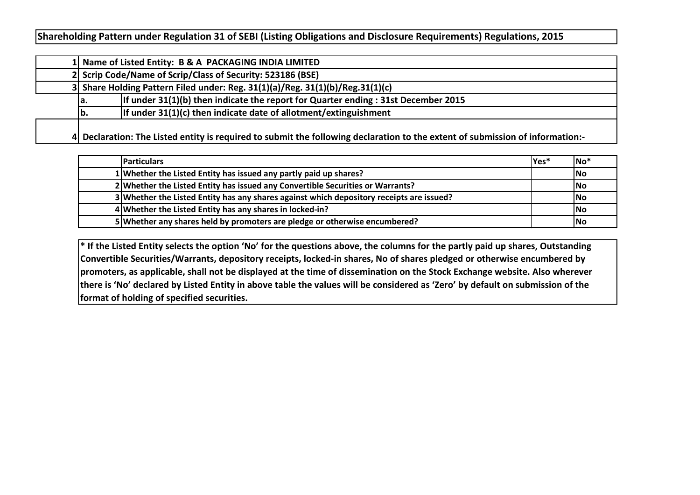**Shareholding Pattern under Regulation 31 of SEBI (Listing Obligations and Disclosure Requirements) Regulations, 2015**

|     | 1 Name of Listed Entity: B & A PACKAGING INDIA LIMITED                                                                        |
|-----|-------------------------------------------------------------------------------------------------------------------------------|
|     | 2 Scrip Code/Name of Scrip/Class of Security: 523186 (BSE)                                                                    |
|     | 3 Share Holding Pattern Filed under: Reg. $31(1)(a)/$ Reg. $31(1)(b)/$ Reg. $31(1)(c)$                                        |
| la. | If under $31(1)(b)$ then indicate the report for Quarter ending : 31st December 2015                                          |
| lb. | If under $31(1)(c)$ then indicate date of allotment/extinguishment                                                            |
|     | 4 Declaration: The Listed entity is required to submit the following declaration to the extent of submission of information:- |

| <b>IParticulars</b>                                                                      | Yes* | No*       |
|------------------------------------------------------------------------------------------|------|-----------|
| 1 Whether the Listed Entity has issued any partly paid up shares?                        |      | lNo       |
| 2 Whether the Listed Entity has issued any Convertible Securities or Warrants?           |      | lNo       |
| 3 Whether the Listed Entity has any shares against which depository receipts are issued? |      | <b>No</b> |
| 4 Whether the Listed Entity has any shares in locked-in?                                 |      | lNo       |
| 5 Whether any shares held by promoters are pledge or otherwise encumbered?               |      | <b>No</b> |

**\* If the Listed Entity selects the option 'No' for the questions above, the columns for the partly paid up shares, Outstanding Convertible Securities/Warrants, depository receipts, locked-in shares, No of shares pledged or otherwise encumbered by promoters, as applicable, shall not be displayed at the time of dissemination on the Stock Exchange website. Also wherever there is 'No' declared by Listed Entity in above table the values will be considered as 'Zero' by default on submission of the format of holding of specified securities.**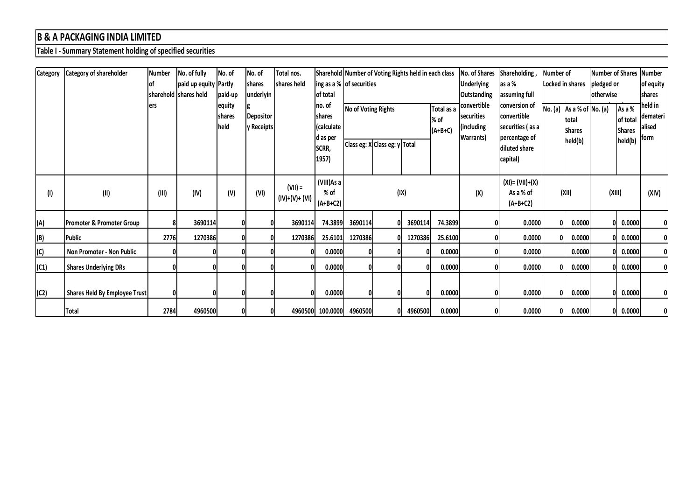## **B & A PACKAGING INDIA LIMITED**

**Table I - Summary Statement holding of specified securities**

| <b>Category</b> | <b>Category of shareholder</b>       | Number | No. of fully          | No. of                   | No. of                         | Total nos.                  |                                                    |                          | Sharehold Number of Voting Rights held in each class |         |                                 | No. of Shares                                                | Shareholding,                                                     | Number of |                                                      | <b>Number of Shares</b> |                                     | <b>Number</b>                           |
|-----------------|--------------------------------------|--------|-----------------------|--------------------------|--------------------------------|-----------------------------|----------------------------------------------------|--------------------------|------------------------------------------------------|---------|---------------------------------|--------------------------------------------------------------|-------------------------------------------------------------------|-----------|------------------------------------------------------|-------------------------|-------------------------------------|-----------------------------------------|
|                 |                                      | lof    | paid up equity Partly |                          | shares                         | shares held                 |                                                    | ing as a % of securities |                                                      |         |                                 | <b>Underlying</b>                                            | as a %                                                            |           | Locked in shares                                     | pledged or              |                                     | of equity                               |
|                 |                                      |        | sharehold shares held | paid-up                  | underlyin                      |                             | of total                                           |                          | <b>Outstanding</b>                                   |         |                                 |                                                              | assuming full                                                     |           |                                                      | otherwise               |                                     | <b>Ishares</b>                          |
|                 |                                      | lers   |                       | equity<br>shares<br>held | <b>Depositor</b><br>y Receipts |                             | Ino. of<br><b>shares</b><br>(calculate<br>d as per | No of Voting Rights      |                                                      |         | Total as a<br>% of<br>$(A+B+C)$ | convertible<br>securities<br>(including<br><b>Warrants</b> ) | conversion of<br>convertible<br>securities (as a<br>percentage of |           | No. (a) As a % of No. (a)<br>ltotal<br><b>Shares</b> |                         | As a %<br>of total<br><b>Shares</b> | held in<br>demateri  <br>alised<br>form |
|                 |                                      |        |                       |                          |                                |                             | SCRR,                                              |                          | Class eg: X Class eg: y Total                        |         |                                 |                                                              | diluted share                                                     |           | held(b)                                              |                         | held(b)                             |                                         |
|                 |                                      |        |                       |                          |                                |                             | 1957)                                              |                          |                                                      |         |                                 |                                                              | capital)                                                          |           |                                                      |                         |                                     |                                         |
| (1)             | (II)                                 | (III)  | (IV)                  | (V)                      | (VI)                           | $(VII) =$<br>(IV)+(V)+ (VI) | (VIII)As a<br>% of<br>$(A+B+C2)$                   |                          | (IX)                                                 |         |                                 | (X)                                                          | $(XI) = (VII)+(X)$<br>As a % of<br>$(A+B+C2)$                     |           | (XII)                                                | (XIII)                  |                                     | (XIV)                                   |
| (A)             | <b>Promoter &amp; Promoter Group</b> |        | 3690114               |                          |                                | 3690114                     | 74.3899                                            | 3690114                  |                                                      | 3690114 | 74.3899                         |                                                              | 0.0000                                                            |           | 0.0000                                               | 0                       | 0.0000                              | 01                                      |
| (B)             | Public                               | 2776   | 1270386               |                          |                                | 1270386                     | 25.6101                                            | 1270386                  |                                                      | 1270386 | 25.6100                         |                                                              | 0.0000                                                            |           | 0.0000                                               | 0                       | 0.0000                              | 01                                      |
| (C)             | Non Promoter - Non Public            |        |                       |                          |                                |                             | 0.0000                                             |                          |                                                      |         | 0.0000                          |                                                              | 0.0000                                                            |           | 0.0000                                               | O.                      | 0.0000                              | 01                                      |
| (C1)            | <b>Shares Underlying DRs</b>         |        |                       |                          |                                |                             | 0.0000                                             |                          |                                                      |         | 0.0000                          | $\mathbf{0}$                                                 | 0.0000                                                            |           | 0.0000                                               | 0                       | 0.0000                              | 0l                                      |
|                 |                                      |        |                       |                          |                                |                             |                                                    |                          |                                                      |         |                                 |                                                              |                                                                   |           |                                                      |                         |                                     |                                         |
| (C2)            | Shares Held By Employee Trust        |        |                       |                          |                                | 01                          | 0.0000                                             |                          |                                                      |         | 0.0000                          | 0                                                            | 0.0000                                                            |           | 0.0000                                               | $\Omega$                | 0.0000                              | 01                                      |
|                 | Total                                | 2784   | 4960500               |                          |                                |                             | 4960500 100.0000                                   | 4960500                  |                                                      | 4960500 | 0.0000                          | 0                                                            | 0.0000                                                            |           | 0.0000                                               |                         | 0 0.0000                            | 01                                      |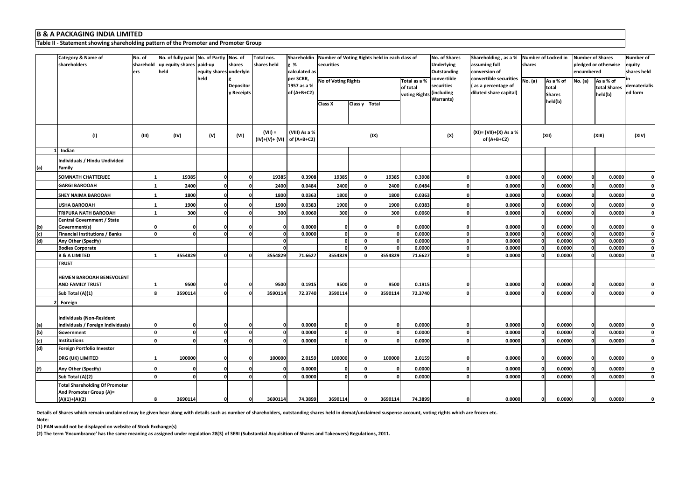## **B & A PACKAGING INDIA LIMITED**

**Table II - Statement showing shareholding pattern of the Promoter and Promoter Group**

|                | Category & Name of<br>shareholders                                                  | No. of<br>sharehold<br>ers | No. of fully paid No. of Partly Nos. of<br>up equity shares paid-up<br>held | equity shares underlyin | shares                         | Total nos.<br>shares held               | g %<br>calculated as                    | securities                 |                 | Shareholdin Number of Voting Rights held in each class of |                                           | No. of Shares<br><b>Underlying</b><br>Outstanding           | Shareholding, as a % Number of Locked in<br>assuming full<br>conversion of | shares  |                                     | Number of Shares<br>pledged or otherwise<br>encumbered | Number of<br>equity<br>shares held   |                         |
|----------------|-------------------------------------------------------------------------------------|----------------------------|-----------------------------------------------------------------------------|-------------------------|--------------------------------|-----------------------------------------|-----------------------------------------|----------------------------|-----------------|-----------------------------------------------------------|-------------------------------------------|-------------------------------------------------------------|----------------------------------------------------------------------------|---------|-------------------------------------|--------------------------------------------------------|--------------------------------------|-------------------------|
|                |                                                                                     |                            |                                                                             | held                    | <b>Depositor</b><br>y Receipts |                                         | per SCRR,<br>1957 as a %<br>of (A+B+C2) | <b>No of Voting Rights</b> |                 |                                                           | Total as a %<br>of total<br>voting Rights | convertible<br>securities<br>(including<br><b>Warrants)</b> | convertible securities<br>as a percentage of<br>diluted share capital)     | No. (a) | As a % of<br>total<br><b>Shares</b> | No. (a)                                                | As a % of<br>total Shares<br>held(b) | dematerialis<br>ed form |
|                |                                                                                     |                            |                                                                             |                         |                                |                                         |                                         | Class X                    | Class y   Total |                                                           |                                           |                                                             |                                                                            |         | held(b)                             |                                                        |                                      |                         |
|                | (1)                                                                                 | (III)                      | (IV)                                                                        | (V)                     | (VI)                           | $(VII) =$<br>(IV)+(V)+ (VI) of (A+B+C2) | (VIII) As a %                           |                            |                 | (IX)                                                      |                                           | (X)                                                         | (XI)= (VII)+(X) As a %<br>of $(A+B+C2)$                                    |         | (XII)                               |                                                        | (XIII)                               | (XIV)                   |
|                | 1 Indian                                                                            |                            |                                                                             |                         |                                |                                         |                                         |                            |                 |                                                           |                                           |                                                             |                                                                            |         |                                     |                                                        |                                      |                         |
| (a)            | Individuals / Hindu Undivided<br>Family                                             |                            |                                                                             |                         |                                |                                         |                                         |                            |                 |                                                           |                                           |                                                             |                                                                            |         |                                     |                                                        |                                      |                         |
|                | SOMNATH CHATTERJEE                                                                  |                            | 19385                                                                       |                         |                                | 19385                                   | 0.3908                                  | 19385                      |                 | 19385                                                     | 0.3908                                    | $\Omega$                                                    | 0.0000                                                                     |         | 0.0000                              | $\Omega$                                               | 0.0000                               |                         |
|                | <b>GARGI BAROOAH</b>                                                                |                            | 2400                                                                        |                         |                                | 2400                                    | 0.0484                                  | 2400                       |                 | 2400                                                      | 0.0484                                    |                                                             | 0.0000                                                                     |         | 0.0000                              | $\Omega$                                               | 0.0000                               |                         |
|                | SHEY NAIMA BAROOAH                                                                  |                            | 1800                                                                        |                         |                                | 1800                                    | 0.0363                                  | 1800                       |                 | 1800                                                      | 0.0363                                    |                                                             | 0.0000                                                                     |         | 0.0000                              |                                                        | 0.0000                               | $\Omega$                |
|                | <b>USHA BAROOAH</b>                                                                 |                            | 1900                                                                        |                         |                                | 1900                                    | 0.0383                                  | 1900                       |                 | 1900                                                      | 0.0383                                    |                                                             | 0.0000                                                                     |         | 0.0000                              |                                                        | 0.0000                               | 0                       |
|                | TRIPURA NATH BAROOAH                                                                |                            | 300                                                                         |                         |                                | 300                                     | 0.0060                                  | 300                        |                 | 300                                                       | 0.0060                                    | $\Omega$                                                    | 0.0000                                                                     |         | 0.0000                              |                                                        | 0.0000                               | U                       |
|                | <b>Central Government / State</b>                                                   |                            |                                                                             |                         |                                |                                         |                                         |                            |                 |                                                           |                                           |                                                             |                                                                            |         |                                     |                                                        |                                      |                         |
| (b)            | Government(s)                                                                       |                            |                                                                             |                         |                                |                                         | 0.0000                                  |                            |                 |                                                           | 0.0000                                    | 0                                                           | 0.0000                                                                     |         | 0.0000                              | $\Omega$                                               | 0.0000                               |                         |
| (c)            | <b>Financial Institutions / Banks</b>                                               | $\Omega$                   | 0                                                                           | n                       | <sup>n</sup>                   | $\mathbf{0}$                            | 0.0000                                  | $\Omega$                   |                 | n                                                         | 0.0000                                    | $\mathbf{0}$                                                | 0.0000                                                                     | O       | 0.0000                              | $\Omega$                                               | 0.0000                               | 0                       |
| (d)            | Any Other (Specify)                                                                 |                            |                                                                             |                         |                                | $\mathbf{0}$                            |                                         | n                          |                 |                                                           | 0.0000                                    | 0                                                           | 0.0000                                                                     | O       | 0.0000                              | $\mathbf{0}$                                           | 0.0000                               | 0                       |
|                | <b>Bodies Corporate</b>                                                             |                            |                                                                             |                         |                                |                                         |                                         |                            |                 |                                                           | 0.0000                                    | $\Omega$                                                    | 0.0000                                                                     |         | 0.0000                              |                                                        | 0.0000                               | 0                       |
|                | <b>B &amp; A LIMITED</b>                                                            |                            | 3554829                                                                     |                         |                                | 3554829                                 | 71.6627                                 | 3554829                    |                 | 3554829                                                   | 71.6627                                   | $\Omega$                                                    | 0.0000                                                                     |         | 0.0000                              |                                                        | 0.0000                               | O                       |
|                | <b>TRUST</b>                                                                        |                            |                                                                             |                         |                                |                                         |                                         |                            |                 |                                                           |                                           |                                                             |                                                                            |         |                                     |                                                        |                                      |                         |
|                | <b>HEMEN BAROOAH BENEVOLENT</b><br><b>AND FAMILY TRUST</b>                          |                            | 9500                                                                        |                         |                                | 9500                                    | 0.1915                                  | 9500                       |                 | 9500                                                      | 0.1915                                    |                                                             | 0.0000                                                                     |         | 0.0000                              | $\Omega$                                               | 0.0000                               |                         |
|                | Sub Total (A)(1)                                                                    |                            | 3590114                                                                     |                         |                                | 3590114                                 | 72.3740                                 | 3590114                    |                 | 3590114                                                   | 72.3740                                   |                                                             | 0.0000                                                                     |         | 0.0000                              |                                                        | 0.0000                               |                         |
|                | Foreign                                                                             |                            |                                                                             |                         |                                |                                         |                                         |                            |                 |                                                           |                                           |                                                             |                                                                            |         |                                     |                                                        |                                      |                         |
| (a)            | <b>Individuals (Non-Resident</b><br>Individuals / Foreign Individuals)              |                            |                                                                             |                         |                                |                                         | 0.0000                                  |                            |                 |                                                           | 0.0000                                    | $\Omega$                                                    | 0.0000                                                                     |         | 0.0000                              |                                                        | 0.0000                               |                         |
| $\overline{P}$ | Government                                                                          | O                          | $\Omega$                                                                    | $\Omega$                | O                              |                                         | 0.0000                                  |                            |                 |                                                           | 0.0000                                    | $\mathbf{0}$                                                | 0.0000                                                                     |         | 0.0000                              |                                                        | 0.0000                               | 0                       |
| (c)            | <b>Institutions</b>                                                                 |                            |                                                                             |                         |                                |                                         | 0.0000                                  |                            |                 |                                                           | 0.0000                                    | $\Omega$                                                    | 0.0000                                                                     |         | 0.0000                              |                                                        | 0.0000                               | 0                       |
| (d)            | Foreign Portfolio Investor                                                          |                            |                                                                             |                         |                                |                                         |                                         |                            |                 |                                                           |                                           |                                                             |                                                                            |         |                                     |                                                        |                                      |                         |
|                | DRG (UK) LIMITED                                                                    |                            | 100000                                                                      |                         |                                | 100000                                  | 2.0159                                  | 100000                     |                 | 100000                                                    | 2.0159                                    |                                                             | 0.0000                                                                     |         | 0.0000                              |                                                        | 0.0000                               | 0                       |
| (f)            | Any Other (Specify)                                                                 |                            |                                                                             |                         |                                |                                         | 0.0000                                  |                            |                 |                                                           | 0.0000                                    | $\Omega$                                                    | 0.0000                                                                     |         | 0.0000                              |                                                        | 0.0000                               | 0                       |
|                | Sub Total (A)(2)                                                                    |                            |                                                                             |                         |                                |                                         | 0.0000                                  |                            |                 |                                                           | 0.0000                                    | $\Omega$                                                    | 0.0000                                                                     |         | 0.0000                              |                                                        | 0.0000                               | 0                       |
|                | <b>Total Shareholding Of Promoter</b><br>And Promoter Group (A)=<br>$(A)(1)+(A)(2)$ | 8                          | 3690114                                                                     |                         |                                | 3690114                                 | 74.3899                                 | 3690114                    |                 | 3690114                                                   | 74.3899                                   |                                                             | 0.0000                                                                     | n       | 0.0000                              | O                                                      | 0.0000                               |                         |

**Details of Shares which remain unclaimed may be given hear along with details such as number of shareholders, outstanding shares held in demat/unclaimed suspense account, voting rights which are frozen etc.**

**Note:** 

**(1) PAN would not be displayed on website of Stock Exchange(s)** 

**(2) The term 'Encumbrance' has the same meaning as assigned under regulation 28(3) of SEBI (Substantial Acquisition of Shares and Takeovers) Regulations, 2011.**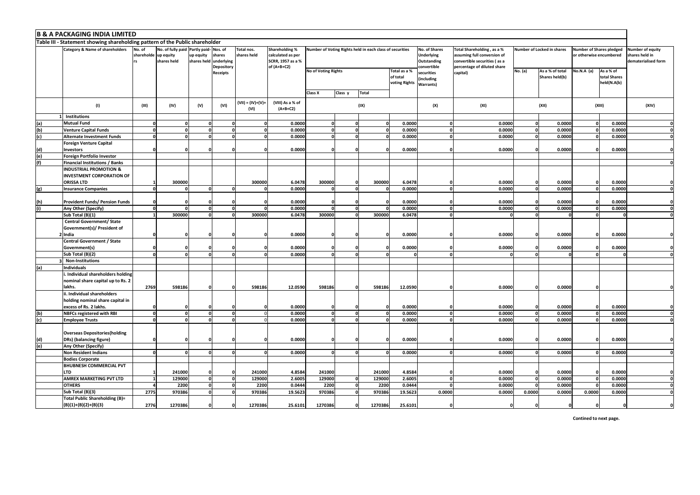|     | <b>B &amp; A PACKAGING INDIA LIMITED</b>                                                                                                                                                                                                                                                                                                                                                                                                                                                                                                                                                                                                                                       |       |              |             |              |                              |                                |                                       |                         |              |                                           |                                       |                             |          |                                   |            |                                          |                                                          |
|-----|--------------------------------------------------------------------------------------------------------------------------------------------------------------------------------------------------------------------------------------------------------------------------------------------------------------------------------------------------------------------------------------------------------------------------------------------------------------------------------------------------------------------------------------------------------------------------------------------------------------------------------------------------------------------------------|-------|--------------|-------------|--------------|------------------------------|--------------------------------|---------------------------------------|-------------------------|--------------|-------------------------------------------|---------------------------------------|-----------------------------|----------|-----------------------------------|------------|------------------------------------------|----------------------------------------------------------|
|     | Table III - Statement showing shareholding pattern of the Public shareholder<br><b>Category &amp; Name of shareholders</b><br>No. of<br>No. of fully paid Partly paid- Nos. of<br>Total nos.<br>Shareholding %<br>Number of Voting Rights held in each class of securities<br>No. of Shares<br>Total Shareholding, as a %<br>Number of Locked in shares<br>Number of Shares pledged<br>up equity<br>up equity<br>shares<br>shares held<br>calculated as per<br>assuming full conversion of<br>shareholde<br><b>Underlying</b><br>or otherwise encumbered<br>shares held<br>underlying<br>SCRR, 1957 as a %<br>shares held<br>Outstanding<br>convertible securities (as a<br>rs |       |              |             |              |                              |                                |                                       |                         |              |                                           |                                       |                             |          |                                   |            |                                          |                                                          |
|     |                                                                                                                                                                                                                                                                                                                                                                                                                                                                                                                                                                                                                                                                                |       |              |             | Depository   |                              | of (A+B+C2)                    |                                       |                         |              |                                           | convertible                           | percentage of diluted share |          |                                   |            |                                          | Number of equity<br>hares held in<br>dematerialised form |
|     |                                                                                                                                                                                                                                                                                                                                                                                                                                                                                                                                                                                                                                                                                |       |              |             | Receipts     |                              |                                | <b>No of Voting Rights</b><br>Class X | Class y<br><b>Total</b> |              | Total as a %<br>of total<br>voting Rights | securities<br>(including<br>Warrants) | capital)                    | No. (a)  | As a % of total<br>Shares held(b) | No.N.A (a) | As a % of<br>total Shares<br>held(N.A(b) |                                                          |
|     | (1)                                                                                                                                                                                                                                                                                                                                                                                                                                                                                                                                                                                                                                                                            | (III) | (IV)         | (V)         | (VI)         | $(VII) = (IV)+(V) +$<br>(VI) | (VIII) As a % of<br>$(A+B+C2)$ |                                       |                         | (IX)         |                                           | (X)                                   | (XI)                        |          | (XII)                             |            | (XIII)                                   | (XIV)                                                    |
|     | Institutions                                                                                                                                                                                                                                                                                                                                                                                                                                                                                                                                                                                                                                                                   |       |              |             |              |                              |                                |                                       |                         |              |                                           |                                       |                             |          |                                   |            |                                          |                                                          |
| (a) | <b>Mutual Fund</b>                                                                                                                                                                                                                                                                                                                                                                                                                                                                                                                                                                                                                                                             |       |              |             |              |                              | 0.0000                         |                                       |                         |              | 0.0000                                    |                                       | 0.0000                      |          | 0.0000                            |            | 0.0000                                   |                                                          |
| (b) | <b>Venture Capital Funds</b>                                                                                                                                                                                                                                                                                                                                                                                                                                                                                                                                                                                                                                                   | o     | $\mathbf{0}$ | $\mathbf 0$ | $\mathbf{0}$ |                              | 0.0000                         | $\Omega$                              |                         | $\mathbf{0}$ | 0.0000                                    | $\mathbf 0$                           | 0.0000                      | $\Omega$ | 0.0000                            |            | 0.0000                                   | 0                                                        |
| (c) | <b>Alternate Investment Funds</b>                                                                                                                                                                                                                                                                                                                                                                                                                                                                                                                                                                                                                                              |       |              |             |              |                              | 0.0000                         |                                       |                         |              | 0.0000                                    | O                                     | 0.0000                      |          | 0.0000                            |            | 0.0000                                   | 0                                                        |
|     | <b>Foreign Venture Capital</b>                                                                                                                                                                                                                                                                                                                                                                                                                                                                                                                                                                                                                                                 |       |              |             |              |                              |                                |                                       |                         |              |                                           |                                       |                             |          |                                   |            |                                          |                                                          |
| (d) | nvestors                                                                                                                                                                                                                                                                                                                                                                                                                                                                                                                                                                                                                                                                       |       |              |             |              |                              | 0.0000                         |                                       |                         |              | 0.0000                                    |                                       | 0.0000                      |          | 0.0000                            |            | 0.0000                                   |                                                          |
| (e) | Foreign Portfolio Investor                                                                                                                                                                                                                                                                                                                                                                                                                                                                                                                                                                                                                                                     |       |              |             |              |                              |                                |                                       |                         |              |                                           |                                       |                             |          |                                   |            |                                          |                                                          |
| (f) | Financial Institutions / Banks                                                                                                                                                                                                                                                                                                                                                                                                                                                                                                                                                                                                                                                 |       |              |             |              |                              |                                |                                       |                         |              |                                           |                                       |                             |          |                                   |            |                                          |                                                          |
|     | <b>INDUSTRIAL PROMOTION &amp;</b><br><b>INVESTMENT CORPORATION OF</b><br>ORISSA LTD                                                                                                                                                                                                                                                                                                                                                                                                                                                                                                                                                                                            |       |              |             |              |                              |                                |                                       |                         |              |                                           |                                       |                             |          |                                   |            |                                          |                                                          |
|     |                                                                                                                                                                                                                                                                                                                                                                                                                                                                                                                                                                                                                                                                                |       | 300000       |             |              | 300000                       | 6.0478                         | 300000                                |                         | 300000       | 6.0478                                    | $\Omega$                              | 0.0000                      |          | 0.0000                            |            | 0.0000                                   |                                                          |
| (g) | <b>Insurance Companies</b>                                                                                                                                                                                                                                                                                                                                                                                                                                                                                                                                                                                                                                                     |       |              | $\Omega$    | O            |                              | 0.0000                         |                                       |                         | 0            | 0.0000                                    |                                       | 0.0000                      |          | 0.0000                            |            | 0.0000                                   | $\Omega$                                                 |
| (h) | Provident Funds/ Pension Funds                                                                                                                                                                                                                                                                                                                                                                                                                                                                                                                                                                                                                                                 |       |              |             |              |                              | 0.0000                         |                                       |                         |              | 0.0000                                    |                                       | 0.0000                      |          | 0.0000                            |            | 0.0000                                   |                                                          |
| (i) | Any Other (Specify)                                                                                                                                                                                                                                                                                                                                                                                                                                                                                                                                                                                                                                                            | nl    | $\Omega$     | $\Omega$    | $\Omega$     |                              | 0.0000                         |                                       |                         | O            | 0.0000                                    | $\Omega$                              | 0.0000                      |          | 0.0000                            |            | 0.0000                                   | 0                                                        |
|     | Sub Total (B)(1)                                                                                                                                                                                                                                                                                                                                                                                                                                                                                                                                                                                                                                                               |       | 300000       |             |              | 300000                       | 6.0478                         | 300000                                |                         | 300000       | 6.0478                                    | n                                     |                             |          |                                   |            |                                          | 0                                                        |
|     | <b>Central Government/ State</b><br>Government(s)/ President of                                                                                                                                                                                                                                                                                                                                                                                                                                                                                                                                                                                                                |       |              |             |              |                              |                                |                                       |                         |              |                                           |                                       |                             |          |                                   |            |                                          |                                                          |
|     | India                                                                                                                                                                                                                                                                                                                                                                                                                                                                                                                                                                                                                                                                          |       |              |             |              |                              | 0.0000                         |                                       |                         | ſ            | 0.0000                                    |                                       | 0.0000                      |          | 0.0000                            |            | 0.0000                                   |                                                          |
|     | <b>Central Government / State</b><br>Government(s)                                                                                                                                                                                                                                                                                                                                                                                                                                                                                                                                                                                                                             |       |              |             |              |                              | 0.0000                         |                                       |                         |              | 0.0000                                    |                                       | 0.0000                      |          | 0.0000                            |            | 0.0000                                   |                                                          |
|     | Sub Total (B)(2)                                                                                                                                                                                                                                                                                                                                                                                                                                                                                                                                                                                                                                                               |       |              |             |              |                              | 0.0000                         |                                       |                         |              |                                           |                                       |                             |          |                                   |            |                                          | n                                                        |
|     | <b>Non-Institutions</b>                                                                                                                                                                                                                                                                                                                                                                                                                                                                                                                                                                                                                                                        |       |              |             |              |                              |                                |                                       |                         |              |                                           |                                       |                             |          |                                   |            |                                          |                                                          |
| (a) | ndividuals                                                                                                                                                                                                                                                                                                                                                                                                                                                                                                                                                                                                                                                                     |       |              |             |              |                              |                                |                                       |                         |              |                                           |                                       |                             |          |                                   |            |                                          |                                                          |
|     | . Individual shareholders holding                                                                                                                                                                                                                                                                                                                                                                                                                                                                                                                                                                                                                                              |       |              |             |              |                              |                                |                                       |                         |              |                                           |                                       |                             |          |                                   |            |                                          |                                                          |
|     | nominal share capital up to Rs. 2                                                                                                                                                                                                                                                                                                                                                                                                                                                                                                                                                                                                                                              | 2769  |              |             |              | 598186                       |                                | 598186                                | $\mathbf{0}$            |              | 12.0590                                   |                                       |                             |          |                                   |            |                                          |                                                          |
|     | lakhs.<br>. Individual shareholders                                                                                                                                                                                                                                                                                                                                                                                                                                                                                                                                                                                                                                            |       | 598186       |             |              |                              | 12.0590                        |                                       |                         | 598186       |                                           |                                       | 0.0000                      |          | 0.0000                            |            |                                          |                                                          |
|     | holding nominal share capital in                                                                                                                                                                                                                                                                                                                                                                                                                                                                                                                                                                                                                                               |       |              |             |              |                              |                                |                                       |                         |              |                                           |                                       |                             |          |                                   |            |                                          |                                                          |
|     | excess of Rs. 2 lakhs.                                                                                                                                                                                                                                                                                                                                                                                                                                                                                                                                                                                                                                                         | n     | $\Omega$     |             | O            |                              | 0.0000<br>0.0000               |                                       |                         | n            | 0.0000<br>0.0000                          | $\Omega$                              | 0.0000<br>0.0000            |          | 0.0000<br>0.0000                  |            | 0.0000<br>0.0000                         | 0                                                        |
| (b) | <b>NBFCs registered with RBI</b>                                                                                                                                                                                                                                                                                                                                                                                                                                                                                                                                                                                                                                               | n     |              |             |              |                              |                                |                                       |                         |              |                                           |                                       |                             |          |                                   |            |                                          |                                                          |
| (c) | <b>Employee Trusts</b>                                                                                                                                                                                                                                                                                                                                                                                                                                                                                                                                                                                                                                                         |       | n            |             |              |                              | 0.0000                         |                                       |                         |              | 0.0000                                    |                                       | 0.0000                      |          | 0.0000                            |            | 0.0000                                   |                                                          |
| (d) | <b>Overseas Depositories (holding</b><br>DRs) (balancing figure)                                                                                                                                                                                                                                                                                                                                                                                                                                                                                                                                                                                                               |       |              |             |              |                              | 0.0000                         |                                       |                         |              | 0.0000                                    |                                       | 0.0000                      |          | 0.0000                            |            | 0.0000                                   |                                                          |
| (e) | Any Other (Specify)                                                                                                                                                                                                                                                                                                                                                                                                                                                                                                                                                                                                                                                            |       |              |             |              |                              |                                |                                       |                         |              |                                           |                                       |                             |          |                                   |            |                                          |                                                          |
|     | <b>Non Resident Indians</b>                                                                                                                                                                                                                                                                                                                                                                                                                                                                                                                                                                                                                                                    |       |              |             |              |                              | 0.0000                         |                                       |                         |              | 0.0000                                    | $\Omega$                              | 0.0000                      |          | 0.0000                            |            | 0.0000                                   | <sub>0</sub>                                             |
|     | <b>Bodies Corporate</b>                                                                                                                                                                                                                                                                                                                                                                                                                                                                                                                                                                                                                                                        |       |              |             |              |                              |                                |                                       |                         |              |                                           |                                       |                             |          |                                   |            |                                          |                                                          |
|     |                                                                                                                                                                                                                                                                                                                                                                                                                                                                                                                                                                                                                                                                                |       |              |             |              |                              |                                |                                       |                         |              |                                           |                                       |                             |          |                                   |            |                                          |                                                          |
|     | BHUBNESH COMMERCIAL PVT<br><b>LTD</b>                                                                                                                                                                                                                                                                                                                                                                                                                                                                                                                                                                                                                                          |       | 241000       | n           | $\Omega$     | 241000                       | 4.8584                         | 241000                                |                         | 241000       | 4.8584                                    |                                       | 0.0000                      |          | 0.0000                            |            | 0.0000                                   |                                                          |
|     | AMREX MARKETING PVT LTD                                                                                                                                                                                                                                                                                                                                                                                                                                                                                                                                                                                                                                                        |       | 129000       | $\Omega$    | n            | 129000                       | 2.6005                         | 129000                                |                         | 129000       | 2.6005                                    |                                       | 0.0000                      |          | 0.0000                            |            | 0.0000                                   | ΩI                                                       |
|     | <b>OTHERS</b>                                                                                                                                                                                                                                                                                                                                                                                                                                                                                                                                                                                                                                                                  |       | 2200         | 0           |              | 2200                         | 0.0444                         | 2200                                  |                         | 2200         | 0.0444                                    |                                       | 0.0000                      |          | 0.0000                            |            | 0.0000                                   | 0                                                        |
|     | Sub Total (B)(3)                                                                                                                                                                                                                                                                                                                                                                                                                                                                                                                                                                                                                                                               | 2775  | 970386       | 0           | $\mathbf{0}$ | 970386                       | 19.5623                        | 970386                                |                         | 970386       | 19.5623                                   | 0.0000                                | 0.0000                      | 0.0000   | 0.0000                            | 0.0000     | 0.0000                                   | ol                                                       |
|     | <b>Total Public Shareholding (B)=</b>                                                                                                                                                                                                                                                                                                                                                                                                                                                                                                                                                                                                                                          |       |              |             |              |                              |                                |                                       |                         |              |                                           |                                       |                             |          |                                   |            |                                          |                                                          |
|     | $(B)(1)+(B)(2)+(B)(3)$                                                                                                                                                                                                                                                                                                                                                                                                                                                                                                                                                                                                                                                         | 2776  | 1270386      |             | C            | 1270386                      | 25.6101                        | 1270386                               |                         | 1270386      | 25.6101                                   |                                       |                             |          |                                   |            |                                          |                                                          |

**Contined to next page.**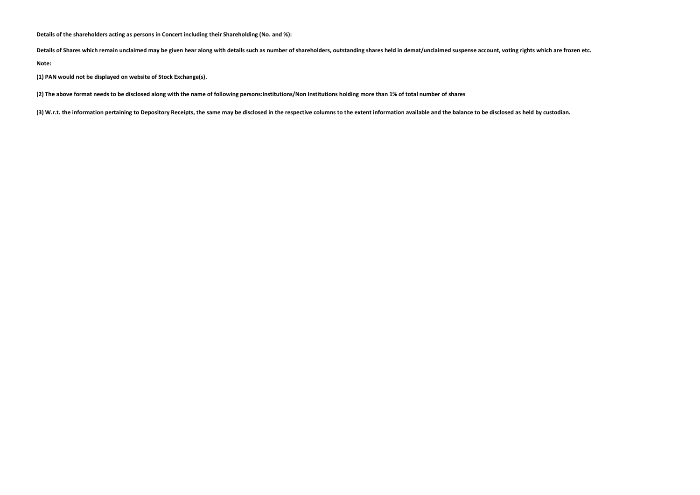**Details of the shareholders acting as persons in Concert including their Shareholding (No. and %):**

**Details of Shares which remain unclaimed may be given hear along with details such as number of shareholders, outstanding shares held in demat/unclaimed suspense account, voting rights which are frozen etc.**

**Note:** 

**(1) PAN would not be displayed on website of Stock Exchange(s).** 

**(2) The above format needs to be disclosed along with the name of following persons:Institutions/Non Institutions holding more than 1% of total number of shares**

**(3) W.r.t. the information pertaining to Depository Receipts, the same may be disclosed in the respective columns to the extent information available and the balance to be disclosed as held by custodian.**